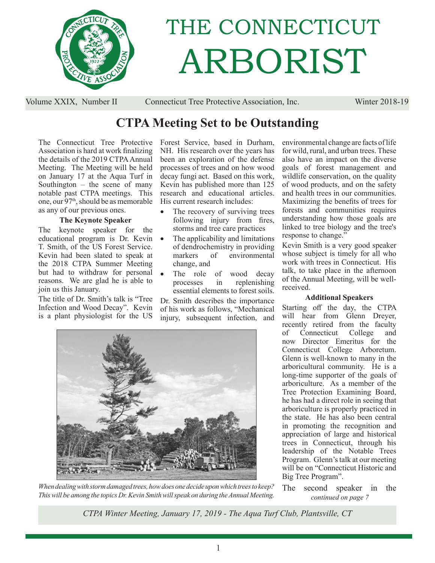

# THE CONNECTICUT ARBORIST

Volume XXIX, Number II Connecticut Tree Protective Association, Inc. Winter 2018-19

# **CTPA Meeting Set to be Outstanding**

The Connecticut Tree Protective Association is hard at work finalizing the details of the 2019 CTPA Annual Meeting. The Meeting will be held on January 17 at the Aqua Turf in Southington – the scene of many notable past CTPA meetings. This one, our 97th, should be as memorable as any of our previous ones.

#### **The Keynote Speaker**

The keynote speaker for the educational program is Dr. Kevin T. Smith, of the US Forest Service. Kevin had been slated to speak at the 2018 CTPA Summer Meeting but had to withdraw for personal reasons. We are glad he is able to join us this January.

The title of Dr. Smith's talk is "Tree Infection and Wood Decay". Kevin is a plant physiologist for the US Forest Service, based in Durham, NH. His research over the years has been an exploration of the defense processes of trees and on how wood decay fungi act. Based on this work, Kevin has published more than 125 research and educational articles. His current research includes:

- The recovery of surviving trees following injury from fires, storms and tree care practices
- The applicability and limitations of dendrochemistry in providing markers of environmental change, and
- The role of wood decay processes in replenishing essential elements to forest soils.

Dr. Smith describes the importance of his work as follows, "Mechanical injury, subsequent infection, and



*When dealing with storm damaged trees, how does one decide upon which trees to keep? This will be among the topics Dr. Kevin Smith will speak on during the Annual Meeting.*

environmental change are facts of life for wild, rural, and urban trees. These also have an impact on the diverse goals of forest management and wildlife conservation, on the quality of wood products, and on the safety and health trees in our communities. Maximizing the benefits of trees for forests and communities requires understanding how those goals are linked to tree biology and the tree's response to change."

Kevin Smith is a very good speaker whose subject is timely for all who work with trees in Connecticut. His talk, to take place in the afternoon of the Annual Meeting, will be wellreceived.

#### **Additional Speakers**

Starting off the day, the CTPA will hear from Glenn Dreyer, recently retired from the faculty of Connecticut College and now Director Emeritus for the Connecticut College Arboretum. Glenn is well-known to many in the arboricultural community. He is a long-time supporter of the goals of arboriculture. As a member of the Tree Protection Examining Board, he has had a direct role in seeing that arboriculture is properly practiced in the state. He has also been central in promoting the recognition and appreciation of large and historical trees in Connecticut, through his leadership of the Notable Trees Program. Glenn's talk at our meeting will be on "Connecticut Historic and Big Tree Program".

*continued on page 7* The second speaker in the

*CTPA Winter Meeting, January 17, 2019 - The Aqua Turf Club, Plantsville, CT*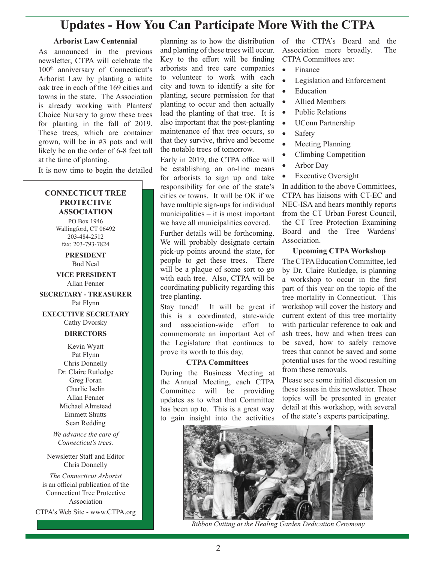## **Updates - How You Can Participate More With the CTPA**

#### **Arborist Law Centennial**

As announced in the previous newsletter, CTPA will celebrate the 100th anniversary of Connecticut's Arborist Law by planting a white oak tree in each of the 169 cities and towns in the state. The Association is already working with Planters' Choice Nursery to grow these trees for planting in the fall of 2019. These trees, which are container grown, will be in #3 pots and will likely be on the order of 6-8 feet tall at the time of planting.

It is now time to begin the detailed

#### **CONNECTICUT TREE PROTECTIVE ASSOCIATION**

PO Box 1946 Wallingford, CT 06492 203-484-2512 fax: 203-793-7824

#### **PRESIDENT** Bud Neal

 **VICE PRESIDENT** Allan Fenner

**SECRETARY - TREASURER** Pat Flynn

**EXECUTIVE SECRETARY** Cathy Dvorsky

#### **DIRECTORS**

Kevin Wyatt Pat Flynn Chris Donnelly Dr. Claire Rutledge Greg Foran Charlie Iselin Allan Fenner Michael Almstead Emmett Shutts Sean Redding

*We advance the care of Connecticut's trees.*

Newsletter Staff and Editor Chris Donnelly

*The Connecticut Arborist* is an official publication of the Connecticut Tree Protective Association

CTPA's Web Site - www.CTPA.org

planning as to how the distribution and planting of these trees will occur. Key to the effort will be finding arborists and tree care companies to volunteer to work with each city and town to identify a site for planting, secure permission for that planting to occur and then actually lead the planting of that tree. It is also important that the post-planting maintenance of that tree occurs, so that they survive, thrive and become the notable trees of tomorrow.

Early in 2019, the CTPA office will be establishing an on-line means for arborists to sign up and take responsibility for one of the state's cities or towns. It will be OK if we have multiple sign-ups for individual municipalities – it is most important we have all municipalities covered.

Further details will be forthcoming. We will probably designate certain pick-up points around the state, for people to get these trees. There will be a plaque of some sort to go with each tree. Also, CTPA will be coordinating publicity regarding this tree planting.

Stay tuned! It will be great if this is a coordinated, state-wide and association-wide effort to commemorate an important Act of the Legislature that continues to prove its worth to this day.

#### **CTPA Committees**

During the Business Meeting at the Annual Meeting, each CTPA Committee will be providing updates as to what that Committee has been up to. This is a great way to gain insight into the activities of the CTPA's Board and the Association more broadly. The CTPA Committees are:

- Finance
- Legislation and Enforcement
- Education
- Allied Members
- Public Relations
- UConn Partnership
- Safety
- Meeting Planning
- Climbing Competition
- Arbor Day
- Executive Oversight

In addition to the above Committees, CTPA has liaisons with CT-EC and NEC-ISA and hears monthly reports from the CT Urban Forest Council, the CT Tree Protection Examining Board and the Tree Wardens' Association.

#### **Upcoming CTPA Workshop**

The CTPA Education Committee, led by Dr. Claire Rutledge, is planning a workshop to occur in the first part of this year on the topic of the tree mortality in Connecticut. This workshop will cover the history and current extent of this tree mortality with particular reference to oak and ash trees, how and when trees can be saved, how to safely remove trees that cannot be saved and some potential uses for the wood resulting from these removals.

Please see some initial discussion on these issues in this newsletter. These topics will be presented in greater detail at this workshop, with several of the state's experts participating.



*Ribbon Cutting at the Healing Garden Dedication Ceremony*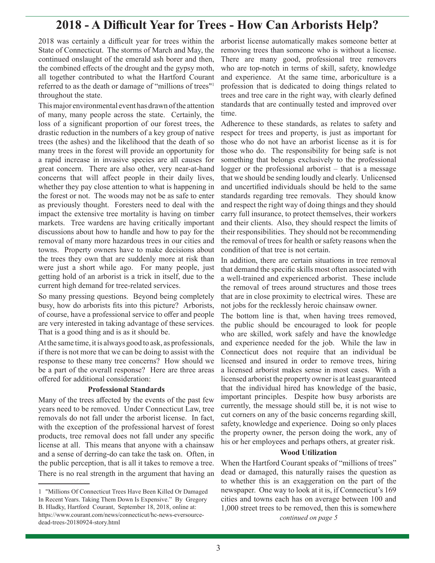## **2018 - A Difficult Year for Trees - How Can Arborists Help?**

2018 was certainly a difficult year for trees within the State of Connecticut. The storms of March and May, the continued onslaught of the emerald ash borer and then, the combined effects of the drought and the gypsy moth, all together contributed to what the Hartford Courant referred to as the death or damage of "millions of trees"1 throughout the state.

This major environmental event has drawn of the attention of many, many people across the state. Certainly, the loss of a significant proportion of our forest trees, the drastic reduction in the numbers of a key group of native trees (the ashes) and the likelihood that the death of so many trees in the forest will provide an opportunity for a rapid increase in invasive species are all causes for great concern. There are also other, very near-at-hand concerns that will affect people in their daily lives, whether they pay close attention to what is happening in the forest or not. The woods may not be as safe to enter as previously thought. Foresters need to deal with the impact the extensive tree mortality is having on timber markets. Tree wardens are having critically important discussions about how to handle and how to pay for the removal of many more hazardous trees in our cities and towns. Property owners have to make decisions about the trees they own that are suddenly more at risk than were just a short while ago. For many people, just getting hold of an arborist is a trick in itself, due to the current high demand for tree-related services.

So many pressing questions. Beyond being completely busy, how do arborists fits into this picture? Arborists, of course, have a professional service to offer and people are very interested in taking advantage of these services. That is a good thing and is as it should be.

At the same time, it is always good to ask, as professionals, if there is not more that we can be doing to assist with the response to these many tree concerns? How should we be a part of the overall response? Here are three areas offered for additional consideration:

#### **Professional Standards**

Many of the trees affected by the events of the past few years need to be removed. Under Connecticut Law, tree removals do not fall under the arborist license. In fact, with the exception of the professional harvest of forest products, tree removal does not fall under any specific license at all. This means that anyone with a chainsaw and a sense of derring-do can take the task on. Often, in the public perception, that is all it takes to remove a tree. There is no real strength in the argument that having an

arborist license automatically makes someone better at removing trees than someone who is without a license. There are many good, professional tree removers who are top-notch in terms of skill, safety, knowledge and experience. At the same time, arboriculture is a profession that is dedicated to doing things related to trees and tree care in the right way, with clearly defined standards that are continually tested and improved over time.

Adherence to these standards, as relates to safety and respect for trees and property, is just as important for those who do not have an arborist license as it is for those who do. The responsibility for being safe is not something that belongs exclusively to the professional logger or the professional arborist – that is a message that we should be sending loudly and clearly. Unlicensed and uncertified individuals should be held to the same standards regarding tree removals. They should know and respect the right way of doing things and they should carry full insurance, to protect themselves, their workers and their clients. Also, they should respect the limits of their responsibilities. They should not be recommending the removal of trees for health or safety reasons when the condition of that tree is not certain.

In addition, there are certain situations in tree removal that demand the specific skills most often associated with a well-trained and experienced arborist. These include the removal of trees around structures and those trees that are in close proximity to electrical wires. These are not jobs for the recklessly heroic chainsaw owner.

The bottom line is that, when having trees removed, the public should be encouraged to look for people who are skilled, work safely and have the knowledge and experience needed for the job. While the law in Connecticut does not require that an individual be licensed and insured in order to remove trees, hiring a licensed arborist makes sense in most cases. With a licensed arborist the property owner is at least guaranteed that the individual hired has knowledge of the basic, important principles. Despite how busy arborists are currently, the message should still be, it is not wise to cut corners on any of the basic concerns regarding skill, safety, knowledge and experience. Doing so only places the property owner, the person doing the work, any of his or her employees and perhaps others, at greater risk.

#### **Wood Utilization**

When the Hartford Courant speaks of "millions of trees" dead or damaged, this naturally raises the question as to whether this is an exaggeration on the part of the newspaper. One way to look at it is, if Connecticut's 169 cities and towns each has on average between 100 and 1,000 street trees to be removed, then this is somewhere

*continued on page 5*

<sup>1</sup> "Millions Of Connecticut Trees Have Been Killed Or Damaged In Recent Years. Taking Them Down Is Expensive." By Gregory B. Hladky, Hartford Courant, September 18, 2018, online at: https://www.courant.com/news/connecticut/hc-news-eversourcedead-trees-20180924-story.html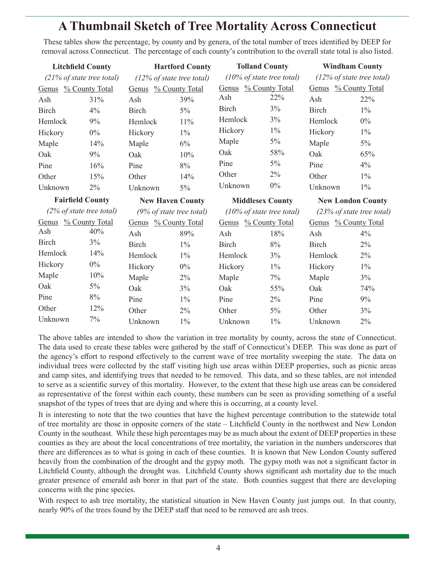# **A Thumbnail Sketch of Tree Mortality Across Connecticut**

These tables show the percentage, by county and by genera, of the total number of trees identified by DEEP for removal across Connecticut. The percentage of each county's contribution to the overall state total is also listed.

| <b>Litchfield County</b>     |       | <b>Hartford County</b>               |       | <b>Tolland County</b>                |       | <b>Windham County</b>                |       |
|------------------------------|-------|--------------------------------------|-------|--------------------------------------|-------|--------------------------------------|-------|
| $(21\%$ of state tree total) |       | $(12\% \text{ of state tree total})$ |       | $(10\% \text{ of state tree total})$ |       | $(12\% \text{ of state tree total})$ |       |
| Genus % County Total         |       | Genus % County Total                 |       | Genus % County Total                 |       | Genus % County Total                 |       |
| Ash                          | 31%   | Ash                                  | 39%   | Ash                                  | 22%   | Ash                                  | 22%   |
| <b>Birch</b>                 | 4%    | <b>Birch</b>                         | $5\%$ | Birch                                | 3%    | Birch                                | $1\%$ |
| Hemlock                      | 9%    | Hemlock                              | 11%   | Hemlock                              | 3%    | Hemlock                              | $0\%$ |
| Hickory                      | $0\%$ | Hickory                              | $1\%$ | Hickory                              | $1\%$ | Hickory                              | $1\%$ |
| Maple                        | 14%   | Maple                                | $6\%$ | Maple                                | $5\%$ | Maple                                | $5\%$ |
| Oak                          | 9%    | Oak                                  | 10%   | Oak                                  | 58%   | Oak                                  | 65%   |
| Pine                         | 16%   | Pine                                 | 8%    | Pine                                 | $5\%$ | Pine                                 | 4%    |
| Other                        | 15%   | Other                                | 14%   | Other                                | 2%    | Other                                | $1\%$ |
| Unknown                      | $2\%$ | Unknown                              | $5\%$ | Unknown                              | $0\%$ | Unknown                              | $1\%$ |
|                              |       |                                      |       |                                      |       |                                      |       |
| <b>Fairfield County</b>      |       | <b>New Haven County</b>              |       | <b>Middlesex County</b>              |       | <b>New London County</b>             |       |
| $(2\%$ of state tree total)  |       | $(9\% \text{ of state tree total})$  |       | $(10\% \text{ of state tree total})$ |       | (23% of state tree total)            |       |
| Genus % County Total         |       | Genus % County Total                 |       | Genus % County Total                 |       | Genus % County Total                 |       |
| Ash                          | 40%   | Ash                                  | 89%   | Ash                                  | 18%   | Ash                                  | 4%    |
| <b>Birch</b>                 | 3%    | Birch                                | $1\%$ | Birch                                | 8%    | Birch                                | 2%    |
| Hemlock                      | 14%   | Hemlock                              | $1\%$ | Hemlock                              | 3%    | Hemlock                              | 2%    |
| Hickory                      | $0\%$ | Hickory                              | $0\%$ | Hickory                              | $1\%$ | Hickory                              | $1\%$ |
| Maple                        | 10%   |                                      | 2%    |                                      | 7%    |                                      | $3\%$ |
| Oak                          | $5\%$ | Maple<br>Oak                         | 3%    | Maple<br>Oak                         | 55%   | Maple<br>Oak                         | 74%   |
| Pine                         | $8\%$ | Pine                                 | $1\%$ | Pine                                 | 2%    | Pine                                 | 9%    |
| Other                        | 12%   | Other                                | $2\%$ | Other                                | $5\%$ | Other                                | 3%    |

The above tables are intended to show the variation in tree mortality by county, across the state of Connecticut. The data used to create these tables were gathered by the staff of Connecticut's DEEP. This was done as part of the agency's effort to respond effectively to the current wave of tree mortality sweeping the state. The data on individual trees were collected by the staff visiting high use areas within DEEP properties, such as picnic areas and camp sites, and identifying trees that needed to be removed. This data, and so these tables, are not intended to serve as a scientific survey of this mortality. However, to the extent that these high use areas can be considered as representative of the forest within each county, these numbers can be seen as providing something of a useful snapshot of the types of trees that are dying and where this is occurring, at a county level.

It is interesting to note that the two counties that have the highest percentage contribution to the statewide total of tree mortality are those in opposite corners of the state – Litchfield County in the northwest and New London County in the southeast. While these high percentages may be as much about the extent of DEEP properties in these counties as they are about the local concentrations of tree mortality, the variation in the numbers underscores that there are differences as to what is going in each of these counties. It is known that New London County suffered heavily from the combination of the drought and the gypsy moth. The gypsy moth was not a significant factor in Litchfield County, although the drought was. Litchfield County shows significant ash mortality due to the much greater presence of emerald ash borer in that part of the state. Both counties suggest that there are developing concerns with the pine species.

With respect to ash tree mortality, the statistical situation in New Haven County just jumps out. In that county, nearly 90% of the trees found by the DEEP staff that need to be removed are ash trees.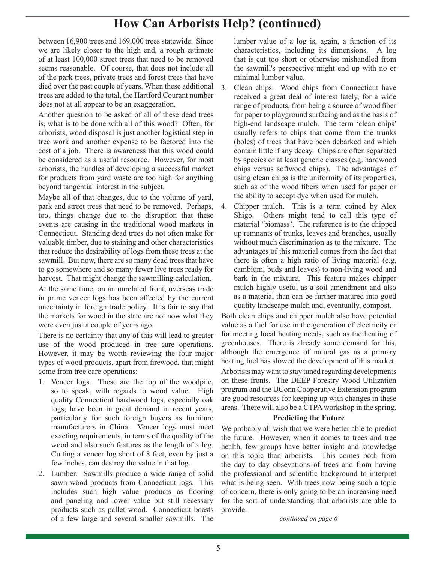# **How Can Arborists Help? (continued)**

between 16,900 trees and 169,000 trees statewide. Since we are likely closer to the high end, a rough estimate of at least 100,000 street trees that need to be removed seems reasonable. Of course, that does not include all of the park trees, private trees and forest trees that have died over the past couple of years. When these additional trees are added to the total, the Hartford Courant number does not at all appear to be an exaggeration.

Another question to be asked of all of these dead trees is, what is to be done with all of this wood? Often, for arborists, wood disposal is just another logistical step in tree work and another expense to be factored into the cost of a job. There is awareness that this wood could be considered as a useful resource. However, for most arborists, the hurdles of developing a successful market for products from yard waste are too high for anything beyond tangential interest in the subject.

Maybe all of that changes, due to the volume of yard, park and street trees that need to be removed. Perhaps, too, things change due to the disruption that these events are causing in the traditional wood markets in Connecticut. Standing dead trees do not often make for valuable timber, due to staining and other characteristics that reduce the desirability of logs from these trees at the sawmill. But now, there are so many dead trees that have to go somewhere and so many fewer live trees ready for harvest. That might change the sawmilling calculation.

At the same time, on an unrelated front, overseas trade in prime veneer logs has been affected by the current uncertainty in foreign trade policy. It is fair to say that the markets for wood in the state are not now what they were even just a couple of years ago.

There is no certainty that any of this will lead to greater use of the wood produced in tree care operations. However, it may be worth reviewing the four major types of wood products, apart from firewood, that might come from tree care operations:

- 1. Veneer logs. These are the top of the woodpile, so to speak, with regards to wood value. High quality Connecticut hardwood logs, especially oak logs, have been in great demand in recent years, particularly for such foreign buyers as furniture manufacturers in China. Veneer logs must meet exacting requirements, in terms of the quality of the wood and also such features as the length of a log. Cutting a veneer log short of 8 feet, even by just a few inches, can destroy the value in that log.
- 2. Lumber. Sawmills produce a wide range of solid sawn wood products from Connecticut logs. This includes such high value products as flooring and paneling and lower value but still necessary products such as pallet wood. Connecticut boasts of a few large and several smaller sawmills. The

lumber value of a log is, again, a function of its characteristics, including its dimensions. A log that is cut too short or otherwise mishandled from the sawmill's perspective might end up with no or minimal lumber value.

- 3. Clean chips. Wood chips from Connecticut have received a great deal of interest lately, for a wide range of products, from being a source of wood fiber for paper to playground surfacing and as the basis of high-end landscape mulch. The term 'clean chips' usually refers to chips that come from the trunks (boles) of trees that have been debarked and which contain little if any decay. Chips are often separated by species or at least generic classes (e.g. hardwood chips versus softwood chips). The advantages of using clean chips is the uniformity of its properties, such as of the wood fibers when used for paper or the ability to accept dye when used for mulch.
- 4. Chipper mulch. This is a term coined by Alex Shigo. Others might tend to call this type of material 'biomass'. The reference is to the chipped up remnants of trunks, leaves and branches, usually without much discrimination as to the mixture. The advantages of this material comes from the fact that there is often a high ratio of living material (e.g, cambium, buds and leaves) to non-living wood and bark in the mixture. This feature makes chipper mulch highly useful as a soil amendment and also as a material than can be further matured into good quality landscape mulch and, eventually, compost.

Both clean chips and chipper mulch also have potential value as a fuel for use in the generation of electricity or for meeting local heating needs, such as the heating of greenhouses. There is already some demand for this, although the emergence of natural gas as a primary heating fuel has slowed the development of this market. Arborists may want to stay tuned regarding developments on these fronts. The DEEP Forestry Wood Utilization program and the UConn Cooperative Extension program are good resources for keeping up with changes in these areas. There will also be a CTPA workshop in the spring.

#### **Predicting the Future**

We probably all wish that we were better able to predict the future. However, when it comes to trees and tree health, few groups have better insight and knowledge on this topic than arborists. This comes both from the day to day obsevations of trees and from having the professional and scientific background to interpret what is being seen. With trees now being such a topic of concern, there is only going to be an increasing need for the sort of understanding that arborists are able to provide.

*continued on page 6*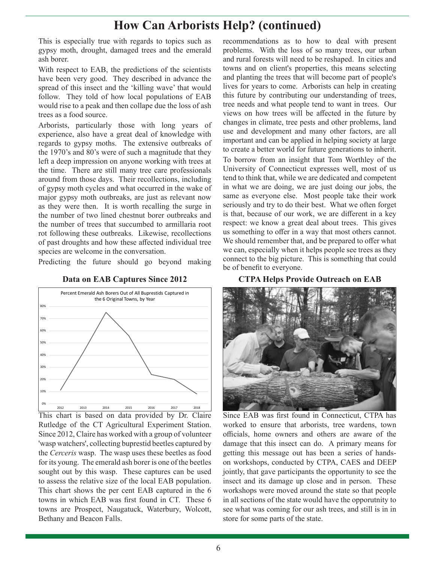## **How Can Arborists Help? (continued)**

This is especially true with regards to topics such as gypsy moth, drought, damaged trees and the emerald ash borer.

With respect to EAB, the predictions of the scientists have been very good. They described in advance the spread of this insect and the 'killing wave' that would follow. They told of how local populations of EAB would rise to a peak and then collape due the loss of ash trees as a food source.

Arborists, particularly those with long years of experience, also have a great deal of knowledge with regards to gypsy moths. The extensive outbreaks of the 1970's and 80's were of such a magnitude that they left a deep impression on anyone working with trees at the time. There are still many tree care professionals around from those days. Their recollections, including of gypsy moth cycles and what occurred in the wake of major gypsy moth outbreaks, are just as relevant now as they were then. It is worth recalling the surge in the number of two lined chestnut borer outbreaks and the number of trees that succumbed to armillaria root rot following these outbreaks. Likewise, recollections of past droughts and how these affected individual tree species are welcome in the conversation.

Predicting the future should go beyond making

**Data on EAB Captures Since 2012**



This chart is based on data provided by Dr. Claire Rutledge of the CT Agricultural Experiment Station. Since 2012, Claire has worked with a group of volunteer 'wasp watchers', collecting buprestid beetles captured by the *Cerceris* wasp. The wasp uses these beetles as food for its young. The emerald ash borer is one of the beetles sought out by this wasp. These captures can be used to assess the relative size of the local EAB population. This chart shows the per cent EAB captured in the 6 towns in which EAB was first found in CT. These 6 towns are Prospect, Naugatuck, Waterbury, Wolcott, Bethany and Beacon Falls.

recommendations as to how to deal with present problems. With the loss of so many trees, our urban and rural forests will need to be reshaped. In cities and towns and on client's properties, this means selecting and planting the trees that will become part of people's lives for years to come. Arborists can help in creating this future by contributing our understanding of trees, tree needs and what people tend to want in trees. Our views on how trees will be affected in the future by changes in climate, tree pests and other problems, land use and development and many other factors, are all important and can be applied in helping society at large to create a better world for future generations to inherit. To borrow from an insight that Tom Worthley of the University of Connecticut expresses well, most of us tend to think that, while we are dedicated and competent in what we are doing, we are just doing our jobs, the same as everyone else. Most people take their work seriously and try to do their best. What we often forget is that, because of our work, we are different in a key respect: we know a great deal about trees. This gives us something to offer in a way that most others cannot. We should remember that, and be prepared to offer what we can, especially when it helps people see trees as they connect to the big picture. This is something that could be of benefit to everyone.

**CTPA Helps Provide Outreach on EAB**



Since EAB was first found in Connecticut, CTPA has worked to ensure that arborists, tree wardens, town officials, home owners and others are aware of the damage that this insect can do. A primary means for getting this message out has been a series of handson workshops, conducted by CTPA, CAES and DEEP jointly, that gave participants the opportunity to see the insect and its damage up close and in person. These workshops were moved around the state so that people in all sections of the state would have the opporutnity to see what was coming for our ash trees, and still is in in store for some parts of the state.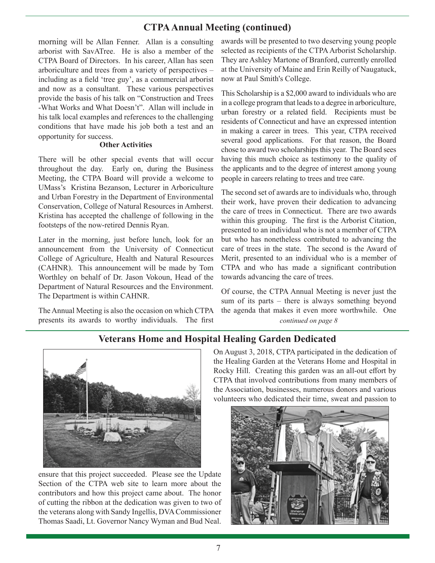### **CTPA Annual Meeting (continued)**

morning will be Allan Fenner. Allan is a consulting arborist with SavATree. He is also a member of the CTPA Board of Directors. In his career, Allan has seen arboriculture and trees from a variety of perspectives – including as a field 'tree guy', as a commercial arborist and now as a consultant. These various perspectives provide the basis of his talk on "Construction and Trees -What Works and What Doesn't". Allan will include in his talk local examples and references to the challenging conditions that have made his job both a test and an opportunity for success.

#### **Other Activities**

There will be other special events that will occur throughout the day. Early on, during the Business Meeting, the CTPA Board will provide a welcome to UMass's Kristina Bezanson, Lecturer in Arboriculture and Urban Forestry in the Department of Environmental Conservation, College of Natural Resources in Amherst. Kristina has accepted the challenge of following in the footsteps of the now-retired Dennis Ryan.

Later in the morning, just before lunch, look for an announcement from the University of Connecticut College of Agriculture, Health and Natural Resources (CAHNR). This announcement will be made by Tom Worthley on behalf of Dr. Jason Vokoun, Head of the Department of Natural Resources and the Environment. The Department is within CAHNR.

The Annual Meeting is also the occasion on which CTPA presents its awards to worthy individuals. The first

awards will be presented to two deserving young people selected as recipients of the CTPA Arborist Scholarship. They are Ashley Martone of Branford, currently enrolled at the University of Maine and Erin Reilly of Naugatuck, now at Paul Smith's College.

This Scholarship is a \$2,000 award to individuals who are in a college program that leads to a degree in arboriculture, urban forestry or a related field. Recipients must be residents of Connecticut and have an expressed intention in making a career in trees. This year, CTPA received several good applications. For that reason, the Board chose to award two scholarships this year. The Board sees having this much choice as testimony to the quality of the applicants and to the degree of interest among young people in careers relating to trees and tree care.

The second set of awards are to individuals who, through their work, have proven their dedication to advancing the care of trees in Connecticut. There are two awards within this grouping. The first is the Arborist Citation, presented to an individual who is not a member of CTPA but who has nonetheless contributed to advancing the care of trees in the state. The second is the Award of Merit, presented to an individual who is a member of CTPA and who has made a significant contribution towards advancing the care of trees.

Of course, the CTPA Annual Meeting is never just the sum of its parts – there is always something beyond the agenda that makes it even more worthwhile. One

*continued on page 8*

## **Veterans Home and Hospital Healing Garden Dedicated**



ensure that this project succeeded. Please see the Update Section of the CTPA web site to learn more about the contributors and how this project came about. The honor of cutting the ribbon at the dedication was given to two of the veterans along with Sandy Ingellis, DVA Commissioner Thomas Saadi, Lt. Governor Nancy Wyman and Bud Neal.

On August 3, 2018, CTPA participated in the dedication of the Healing Garden at the Veterans Home and Hospital in Rocky Hill. Creating this garden was an all-out effort by CTPA that involved contributions from many members of the Association, businesses, numerous donors and various volunteers who dedicated their time, sweat and passion to